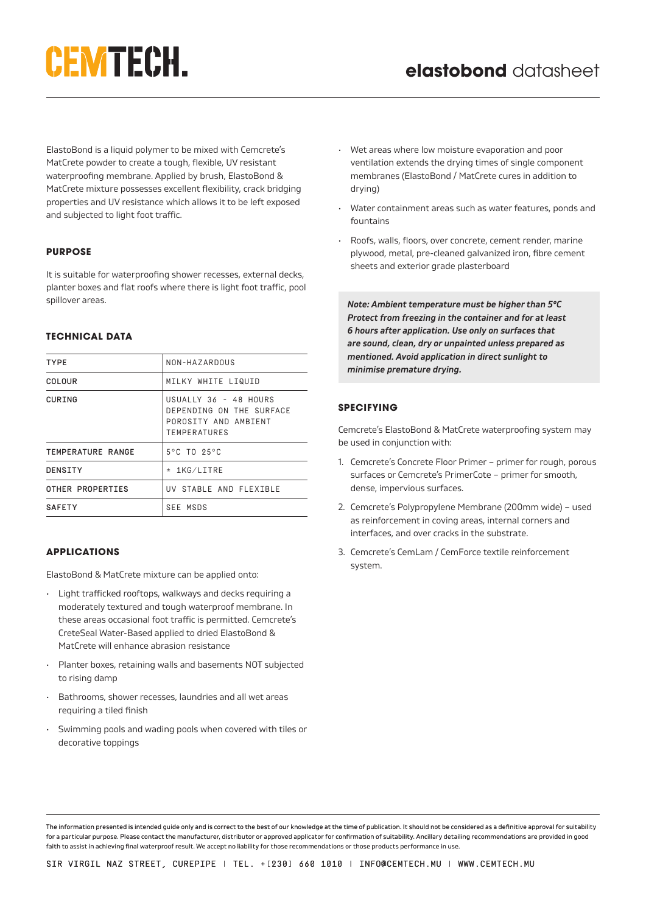# CEMTECH.

ElastoBond is a liquid polymer to be mixed with Cemcrete's MatCrete powder to create a tough, flexible, UV resistant waterproofing membrane. Applied by brush, ElastoBond & MatCrete mixture possesses excellent flexibility, crack bridging properties and UV resistance which allows it to be left exposed and subjected to light foot traffic.

## **PURPOSE**

It is suitable for waterproofing shower recesses, external decks, planter boxes and flat roofs where there is light foot traffic, pool spillover areas.

## **TECHNICAL DATA**

| <b>TYPE</b>       | NON-HAZARDOUS                                                                                    |
|-------------------|--------------------------------------------------------------------------------------------------|
| COLOUR            | MILKY WHITE LIQUID                                                                               |
| CURING            | USUALLY 36 - 48 HOURS<br>DEPENDING ON THE SURFACE<br>POROSTTY AND AMBTENT<br><b>TEMPERATURES</b> |
| TEMPERATURE RANGE | $5^{\circ}$ C TO 25 $^{\circ}$ C                                                                 |
| DENSITY           | ± 1KG/LITRE                                                                                      |
| OTHER PROPERTIES  | UV STABLE AND FLEXIBLE                                                                           |
| <b>SAFETY</b>     | SEE MSDS                                                                                         |
|                   |                                                                                                  |

# **APPLICATIONS**

ElastoBond & MatCrete mixture can be applied onto:

- Light trafficked rooftops, walkways and decks requiring a moderately textured and tough waterproof membrane. In these areas occasional foot traffic is permitted. Cemcrete's CreteSeal Water-Based applied to dried ElastoBond & MatCrete will enhance abrasion resistance
- Planter boxes, retaining walls and basements NOT subjected to rising damp
- Bathrooms, shower recesses, laundries and all wet areas requiring a tiled finish
- Swimming pools and wading pools when covered with tiles or decorative toppings
- Wet areas where low moisture evaporation and poor ventilation extends the drying times of single component membranes (ElastoBond / MatCrete cures in addition to drying)
- Water containment areas such as water features, ponds and fountains
- Roofs, walls, floors, over concrete, cement render, marine plywood, metal, pre-cleaned galvanized iron, fibre cement sheets and exterior grade plasterboard

*Note: Ambient temperature must be higher than 5°C Protect from freezing in the container and for at least 6 hours after application. Use only on surfaces that are sound, clean, dry or unpainted unless prepared as mentioned. Avoid application in direct sunlight to minimise premature drying.*

# **SPECIFYING**

Cemcrete's ElastoBond & MatCrete waterproofing system may be used in conjunction with:

- 1. Cemcrete's Concrete Floor Primer primer for rough, porous surfaces or Cemcrete's PrimerCote – primer for smooth, dense, impervious surfaces.
- 2. Cemcrete's Polypropylene Membrane (200mm wide) used as reinforcement in coving areas, internal corners and interfaces, and over cracks in the substrate.
- 3. Cemcrete's CemLam / CemForce textile reinforcement system.

The information presented is intended guide only and is correct to the best of our knowledge at the time of publication. It should not be considered as a definitive approval for suitability for a particular purpose. Please contact the manufacturer, distributor or approved applicator for confirmation of suitability. Ancillary detailing recommendations are provided in good faith to assist in achieving final waterproof result. We accept no liability for those recommendations or those products performance in use.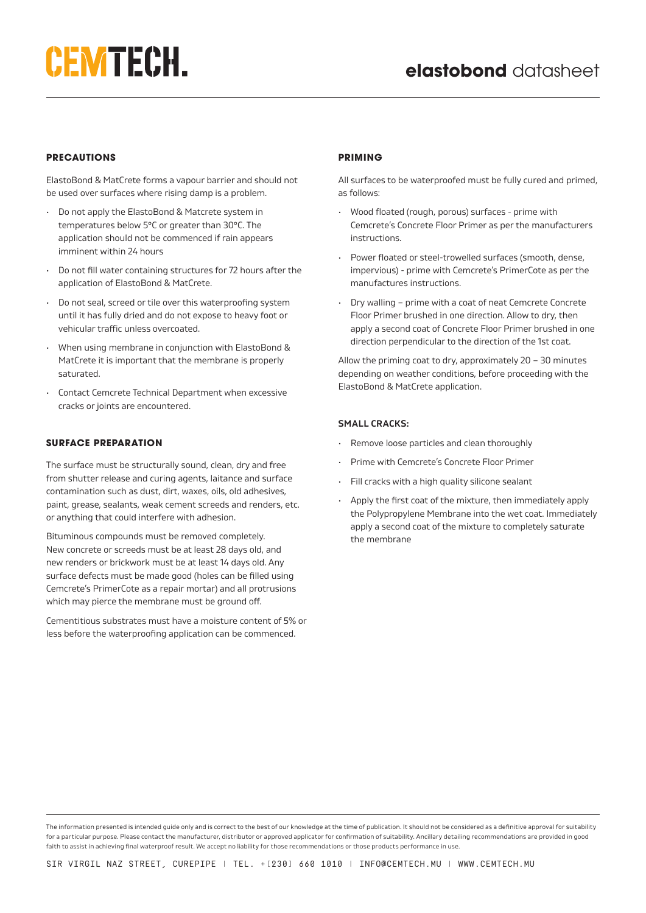## **PRECAUTIONS**

ElastoBond & MatCrete forms a vapour barrier and should not be used over surfaces where rising damp is a problem.

- Do not apply the ElastoBond & Matcrete system in temperatures below 5°C or greater than 30°C. The application should not be commenced if rain appears imminent within 24 hours
- Do not fill water containing structures for 72 hours after the application of ElastoBond & MatCrete.
- Do not seal, screed or tile over this waterproofing system until it has fully dried and do not expose to heavy foot or vehicular traffic unless overcoated.
- When using membrane in conjunction with ElastoBond & MatCrete it is important that the membrane is properly saturated.
- Contact Cemcrete Technical Department when excessive cracks or joints are encountered.

#### **SURFACE PREPARATION**

The surface must be structurally sound, clean, dry and free from shutter release and curing agents, laitance and surface contamination such as dust, dirt, waxes, oils, old adhesives, paint, grease, sealants, weak cement screeds and renders, etc. or anything that could interfere with adhesion.

Bituminous compounds must be removed completely. New concrete or screeds must be at least 28 days old, and new renders or brickwork must be at least 14 days old. Any surface defects must be made good (holes can be filled using Cemcrete's PrimerCote as a repair mortar) and all protrusions which may pierce the membrane must be ground off.

Cementitious substrates must have a moisture content of 5% or less before the waterproofing application can be commenced.

## **PRIMING**

All surfaces to be waterproofed must be fully cured and primed, as follows:

- Wood floated (rough, porous) surfaces prime with Cemcrete's Concrete Floor Primer as per the manufacturers instructions.
- Power floated or steel-trowelled surfaces (smooth, dense, impervious) - prime with Cemcrete's PrimerCote as per the manufactures instructions.
- Dry walling prime with a coat of neat Cemcrete Concrete Floor Primer brushed in one direction. Allow to dry, then apply a second coat of Concrete Floor Primer brushed in one direction perpendicular to the direction of the 1st coat.

Allow the priming coat to dry, approximately 20 – 30 minutes depending on weather conditions, before proceeding with the ElastoBond & MatCrete application.

## **SMALL CRACKS:**

- Remove loose particles and clean thoroughly
- Prime with Cemcrete's Concrete Floor Primer
- Fill cracks with a high quality silicone sealant
- Apply the first coat of the mixture, then immediately apply the Polypropylene Membrane into the wet coat. Immediately apply a second coat of the mixture to completely saturate the membrane

The information presented is intended guide only and is correct to the best of our knowledge at the time of publication. It should not be considered as a definitive approval for suitability for a particular purpose. Please contact the manufacturer, distributor or approved applicator for confirmation of suitability. Ancillary detailing recommendations are provided in good faith to assist in achieving final waterproof result. We accept no liability for those recommendations or those products performance in use.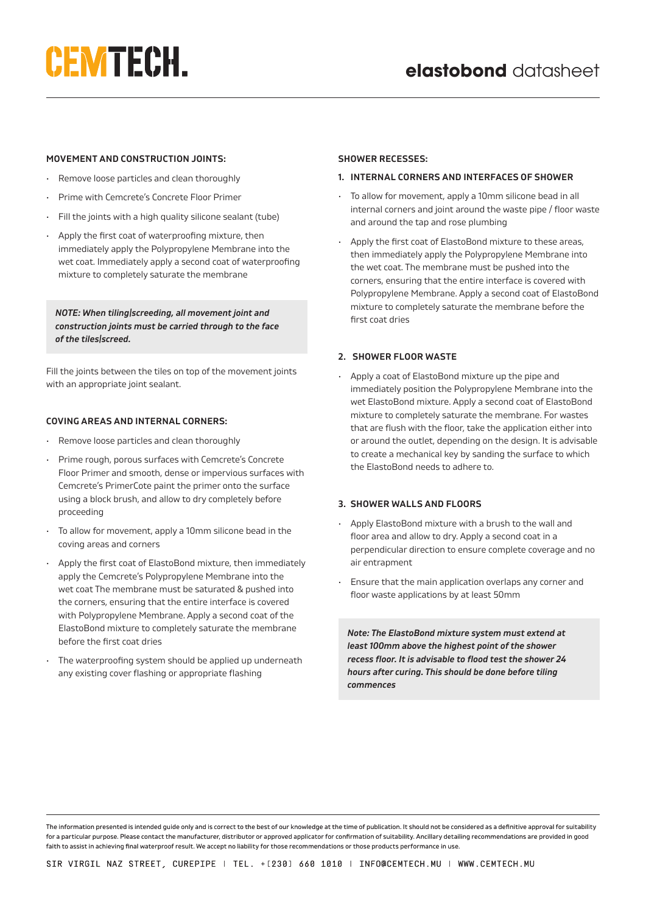# CEMTECH.

## **MOVEMENT AND CONSTRUCTION JOINTS:**

- Remove loose particles and clean thoroughly
- Prime with Cemcrete's Concrete Floor Primer
- Fill the joints with a high quality silicone sealant (tube)
- Apply the first coat of waterproofing mixture, then immediately apply the Polypropylene Membrane into the wet coat. Immediately apply a second coat of waterproofing mixture to completely saturate the membrane

*NOTE: When tiling/screeding, all movement joint and construction joints must be carried through to the face of the tiles/screed.*

Fill the joints between the tiles on top of the movement joints with an appropriate joint sealant.

## **COVING AREAS AND INTERNAL CORNERS:**

- Remove loose particles and clean thoroughly
- Prime rough, porous surfaces with Cemcrete's Concrete Floor Primer and smooth, dense or impervious surfaces with Cemcrete's PrimerCote paint the primer onto the surface using a block brush, and allow to dry completely before proceeding
- To allow for movement, apply a 10mm silicone bead in the coving areas and corners
- Apply the first coat of ElastoBond mixture, then immediately apply the Cemcrete's Polypropylene Membrane into the wet coat The membrane must be saturated & pushed into the corners, ensuring that the entire interface is covered with Polypropylene Membrane. Apply a second coat of the ElastoBond mixture to completely saturate the membrane before the first coat dries
- The waterproofing system should be applied up underneath any existing cover flashing or appropriate flashing

#### **SHOWER RECESSES:**

#### **1. INTERNAL CORNERS AND INTERFACES OF SHOWER**

- To allow for movement, apply a 10mm silicone bead in all internal corners and joint around the waste pipe / floor waste and around the tap and rose plumbing
- Apply the first coat of ElastoBond mixture to these areas, then immediately apply the Polypropylene Membrane into the wet coat. The membrane must be pushed into the corners, ensuring that the entire interface is covered with Polypropylene Membrane. Apply a second coat of ElastoBond mixture to completely saturate the membrane before the first coat dries

## **2. SHOWER FLOOR WASTE**

• Apply a coat of ElastoBond mixture up the pipe and immediately position the Polypropylene Membrane into the wet ElastoBond mixture. Apply a second coat of ElastoBond mixture to completely saturate the membrane. For wastes that are flush with the floor, take the application either into or around the outlet, depending on the design. It is advisable to create a mechanical key by sanding the surface to which the ElastoBond needs to adhere to.

## **3. SHOWER WALLS AND FLOORS**

- Apply ElastoBond mixture with a brush to the wall and floor area and allow to dry. Apply a second coat in a perpendicular direction to ensure complete coverage and no air entrapment
- Ensure that the main application overlaps any corner and floor waste applications by at least 50mm

*Note: The ElastoBond mixture system must extend at least 100mm above the highest point of the shower recess floor. It is advisable to flood test the shower 24 hours after curing. This should be done before tiling commences*

The information presented is intended guide only and is correct to the best of our knowledge at the time of publication. It should not be considered as a definitive approval for suitability for a particular purpose. Please contact the manufacturer, distributor or approved applicator for confirmation of suitability. Ancillary detailing recommendations are provided in good faith to assist in achieving final waterproof result. We accept no liability for those recommendations or those products performance in use.